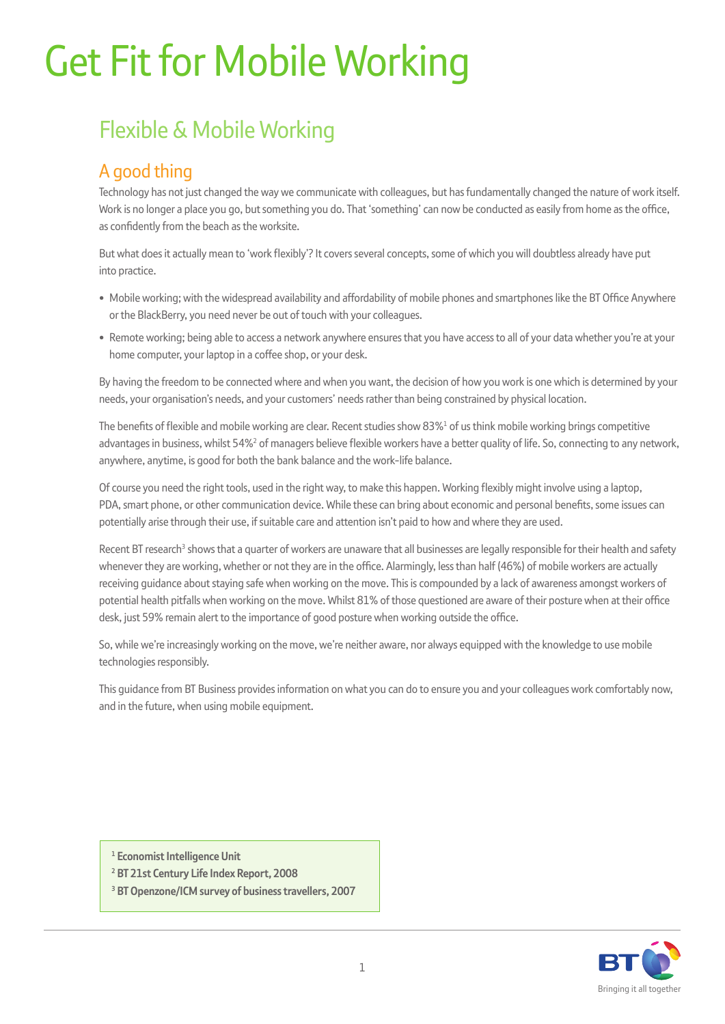# Get Fit for Mobile Working

## Flexible & Mobile Working

### A good thing

Technology has not just changed the way we communicate with colleagues, but has fundamentally changed the nature of work itself. Work is no longer a place you go, but something you do. That 'something' can now be conducted as easily from home as the office, as confidently from the beach as the worksite.

But what does it actually mean to 'work flexibly'? It covers several concepts, some of which you will doubtless already have put into practice.

- Mobile working; with the widespread availability and affordability of mobile phones and smartphones like the BT Office Anywhere or the BlackBerry, you need never be out of touch with your colleagues.
- Remote working; being able to access a network anywhere ensures that you have access to all of your data whether you're at your home computer, your laptop in a coffee shop, or your desk.

By having the freedom to be connected where and when you want, the decision of how you work is one which is determined by your needs, your organisation's needs, and your customers' needs rather than being constrained by physical location.

The benefits of flexible and mobile working are clear. Recent studies show  $83\%^1$  of us think mobile working brings competitive advantages in business, whilst 54%<sup>2</sup> of managers believe flexible workers have a better quality of life. So, connecting to any network, anywhere, anytime, is good for both the bank balance and the work-life balance.

Of course you need the right tools, used in the right way, to make this happen. Working flexibly might involve using a laptop, PDA, smart phone, or other communication device. While these can bring about economic and personal benefits, some issues can potentially arise through their use, if suitable care and attention isn't paid to how and where they are used.

Recent BT research<sup>3</sup> shows that a quarter of workers are unaware that all businesses are legally responsible for their health and safety whenever they are working, whether or not they are in the office. Alarmingly, less than half (46%) of mobile workers are actually receiving guidance about staying safe when working on the move. This is compounded by a lack of awareness amongst workers of potential health pitfalls when working on the move. Whilst 81% of those questioned are aware of their posture when at their office desk, just 59% remain alert to the importance of good posture when working outside the office.

So, while we're increasingly working on the move, we're neither aware, nor always equipped with the knowledge to use mobile technologies responsibly.

This guidance from BT Business provides information on what you can do to ensure you and your colleagues work comfortably now, and in the future, when using mobile equipment.

- **1 Economist Intelligence Unit**
- **2 BT 21st Century Life Index Report, 2008**
- **3 BT Openzone/ICM survey of business travellers, 2007**

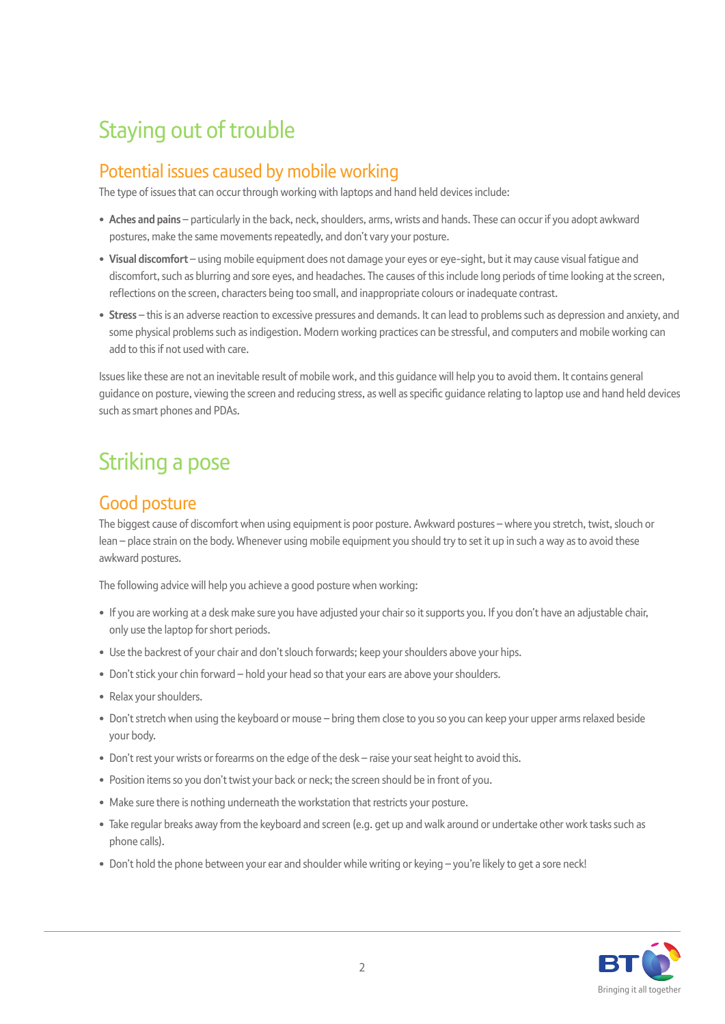## Staying out of trouble

### Potential issues caused by mobile working

The type of issues that can occur through working with laptops and hand held devices include:

- Aches and pains particularly in the back, neck, shoulders, arms, wrists and hands. These can occur if you adopt awkward postures, make the same movements repeatedly, and don't vary your posture.
- **Visual discomfort**  using mobile equipment does not damage your eyes or eye-sight, but it may cause visual fatigue and discomfort, such as blurring and sore eyes, and headaches. The causes of this include long periods of time looking at the screen, reflections on the screen, characters being too small, and inappropriate colours or inadequate contrast.
- **Stress** this is an adverse reaction to excessive pressures and demands. It can lead to problems such as depression and anxiety, and some physical problems such as indigestion. Modern working practices can be stressful, and computers and mobile working can add to this if not used with care.

Issues like these are not an inevitable result of mobile work, and this guidance will help you to avoid them. It contains general guidance on posture, viewing the screen and reducing stress, as well as specific guidance relating to laptop use and hand held devices such as smart phones and PDAs.

## Striking a pose

### Good posture

The biggest cause of discomfort when using equipment is poor posture. Awkward postures – where you stretch, twist, slouch or lean – place strain on the body. Whenever using mobile equipment you should try to set it up in such a way as to avoid these awkward postures.

The following advice will help you achieve a good posture when working:

- If you are working at a desk make sure you have adjusted your chair so it supports you. If you don't have an adjustable chair, only use the laptop for short periods.
- Use the backrest of your chair and don't slouch forwards: keep your shoulders above your hips.
- Don't stick your chin forward hold your head so that your ears are above your shoulders.
- Relax your shoulders.
- Don't stretch when using the keyboard or mouse bring them close to you so you can keep your upper arms relaxed beside your body.
- Don't rest your wrists or forearms on the edge of the desk raise your seat height to avoid this.
- Position items so you don't twist your back or neck; the screen should be in front of you.
- Make sure there is nothing underneath the workstation that restricts your posture.
- Take regular breaks away from the keyboard and screen (e.g. get up and walk around or undertake other work tasks such as phone calls).
- Don't hold the phone between your ear and shoulder while writing or keying you're likely to get a sore neck!

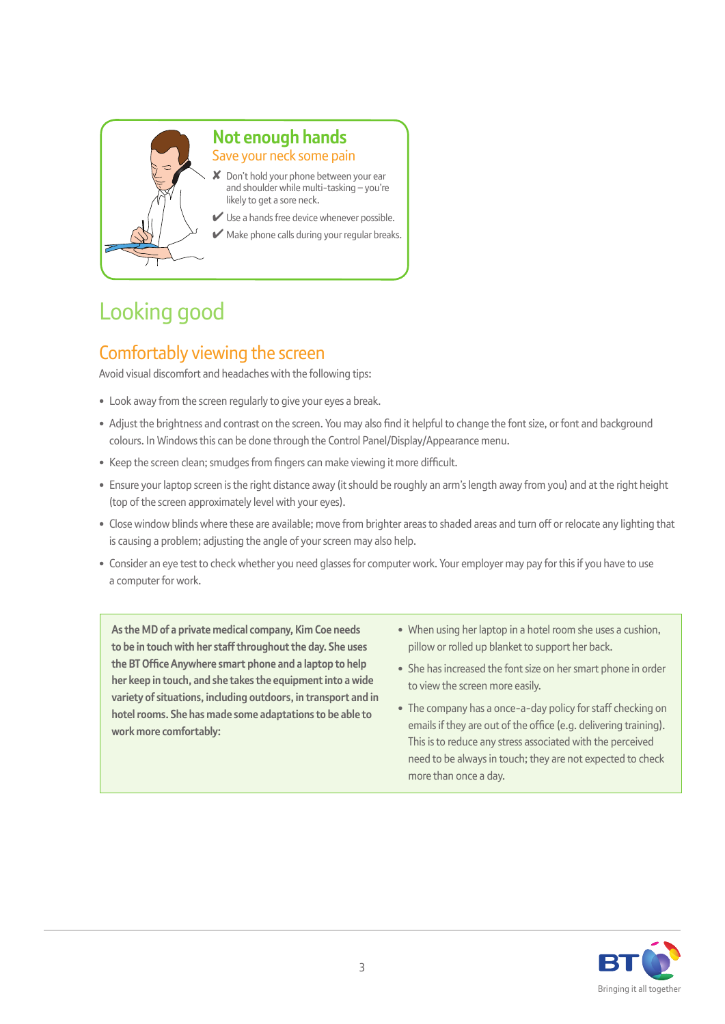

### **Not enough hands**  Save your neck some pain

- ✘ Don't hold your phone between your ear and shoulder while multi-tasking – you're likely to get a sore neck.
- $\vee$  Use a hands free device whenever possible.
- $\blacktriangleright$  Make phone calls during your regular breaks.

## Looking good

### Comfortably viewing the screen

Avoid visual discomfort and headaches with the following tips:

- Look away from the screen regularly to give your eyes a break.
- Adjust the brightness and contrast on the screen. You may also find it helpful to change the font size, or font and background colours. In Windows this can be done through the Control Panel/Display/Appearance menu.
- Keep the screen clean; smudges from fingers can make viewing it more difficult.
- Ensure your laptop screen is the right distance away (it should be roughly an arm's length away from you) and at the right height (top of the screen approximately level with your eyes).
- Close window blinds where these are available; move from brighter areas to shaded areas and turn off or relocate any lighting that is causing a problem; adjusting the angle of your screen may also help.
- Consider an eye test to check whether you need glasses for computer work. Your employer may pay for this if you have to use a computer for work.

**As the MD of a private medical company, Kim Coe needs to be in touch with her staff throughout the day. She uses the BT Office Anywhere smart phone and a laptop to help her keep in touch, and she takes the equipment into a wide variety of situations, including outdoors, in transport and in hotel rooms. She has made some adaptations to be able to work more comfortably:** 

- When using her laptop in a hotel room she uses a cushion, pillow or rolled up blanket to support her back.
- She has increased the font size on her smart phone in order to view the screen more easily.
- The company has a once-a-day policy for staff checking on emails if they are out of the office (e.g. delivering training). This is to reduce any stress associated with the perceived need to be always in touch; they are not expected to check more than once a day.

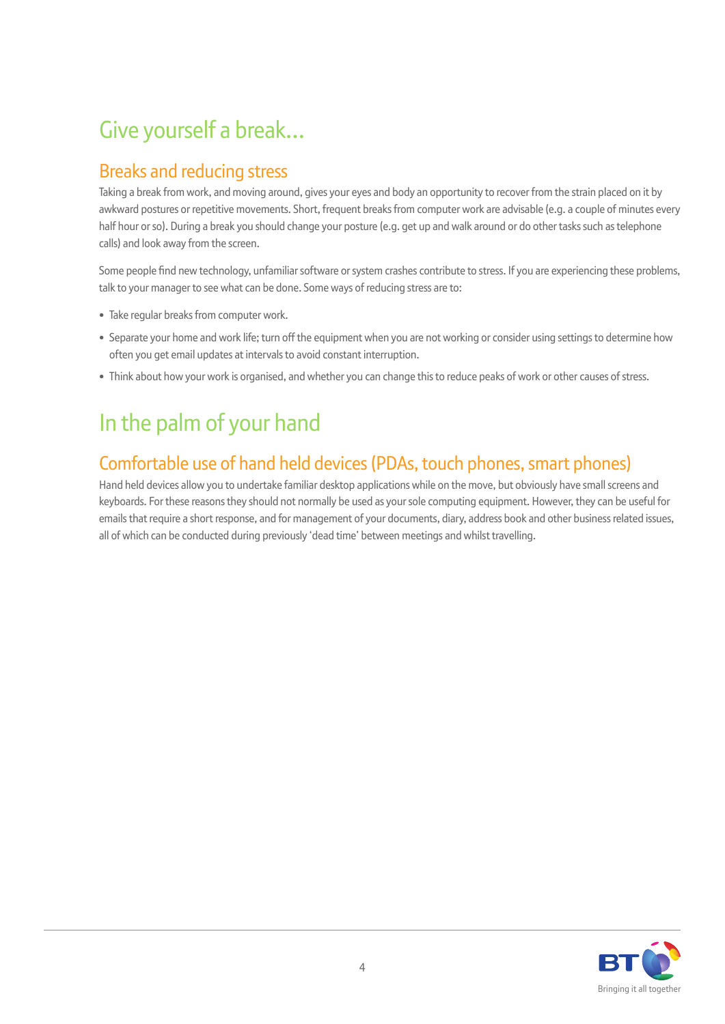## Give yourself a break…

### Breaks and reducing stress

Taking a break from work, and moving around, gives your eyes and body an opportunity to recover from the strain placed on it by awkward postures or repetitive movements. Short, frequent breaks from computer work are advisable (e.g. a couple of minutes every half hour or so). During a break you should change your posture (e.g. get up and walk around or do other tasks such as telephone calls) and look away from the screen.

Some people find new technology, unfamiliar software or system crashes contribute to stress. If you are experiencing these problems, talk to your manager to see what can be done. Some ways of reducing stress are to:

- Take regular breaks from computer work.
- Separate your home and work life; turn off the equipment when you are not working or consider using settings to determine how often you get email updates at intervals to avoid constant interruption.
- Think about how your work is organised, and whether you can change this to reduce peaks of work or other causes of stress.

## In the palm of your hand

### Comfortable use of hand held devices (PDAs, touch phones, smart phones)

Hand held devices allow you to undertake familiar desktop applications while on the move, but obviously have small screens and keyboards. For these reasons they should not normally be used as your sole computing equipment. However, they can be useful for emails that require a short response, and for management of your documents, diary, address book and other business related issues, all of which can be conducted during previously 'dead time' between meetings and whilst travelling.

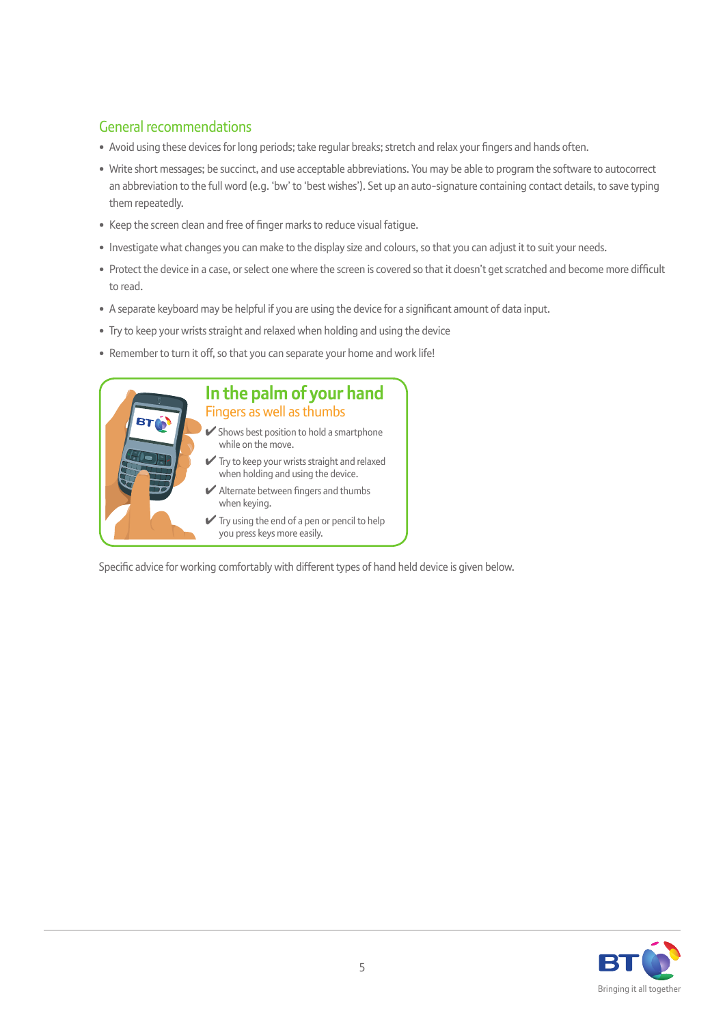### General recommendations

- Avoid using these devices for long periods; take regular breaks; stretch and relax your fingers and hands often.
- Write short messages; be succinct, and use acceptable abbreviations. You may be able to program the software to autocorrect an abbreviation to the full word (e.g. 'bw' to 'best wishes'). Set up an auto-signature containing contact details, to save typing them repeatedly.
- Keep the screen clean and free of finger marks to reduce visual fatigue.
- Investigate what changes you can make to the display size and colours, so that you can adjust it to suit your needs.
- Protect the device in a case, or select one where the screen is covered so that it doesn't get scratched and become more difficult to read.
- A separate keyboard may be helpful if you are using the device for a significant amount of data input.
- Try to keep your wrists straight and relaxed when holding and using the device
- Remember to turn it off, so that you can separate your home and work life!



Specific advice for working comfortably with different types of hand held device is given below.

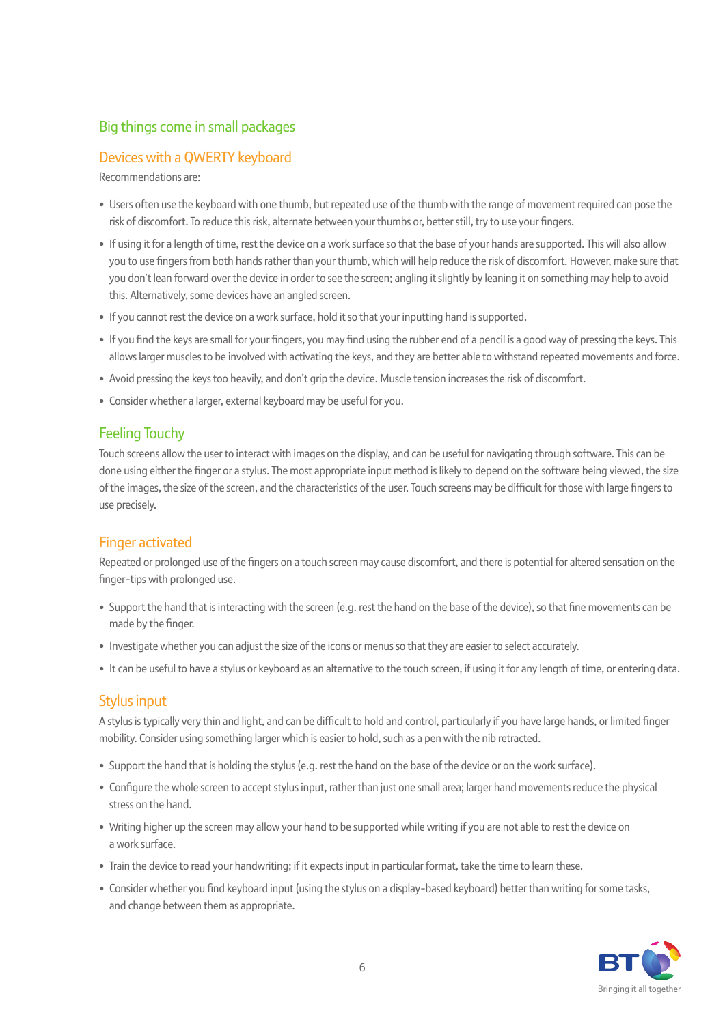### Big things come in small packages

### Devices with a QWERTY keyboard

Recommendations are:

- Users often use the keyboard with one thumb, but repeated use of the thumb with the range of movement required can pose the risk of discomfort. To reduce this risk, alternate between your thumbs or, better still, try to use your fingers.
- If using it for a length of time, rest the device on a work surface so that the base of your hands are supported. This will also allow you to use fingers from both hands rather than your thumb, which will help reduce the risk of discomfort. However, make sure that you don't lean forward over the device in order to see the screen; angling it slightly by leaning it on something may help to avoid this. Alternatively, some devices have an angled screen.
- If you cannot rest the device on a work surface, hold it so that your inputting hand is supported.
- If you find the keys are small for your fingers, you may find using the rubber end of a pencil is a good way of pressing the keys. This allows larger muscles to be involved with activating the keys, and they are better able to withstand repeated movements and force.
- Avoid pressing the keys too heavily, and don't grip the device. Muscle tension increases the risk of discomfort.
- Consider whether a larger, external keyboard may be useful for you.

### Feeling Touchy

Touch screens allow the user to interact with images on the display, and can be useful for navigating through software. This can be done using either the finger or a stylus. The most appropriate input method is likely to depend on the software being viewed, the size of the images, the size of the screen, and the characteristics of the user. Touch screens may be difficult for those with large fingers to use precisely.

### Finger activated

Repeated or prolonged use of the fingers on a touch screen may cause discomfort, and there is potential for altered sensation on the finger-tips with prolonged use.

- Support the hand that is interacting with the screen (e.g. rest the hand on the base of the device), so that fine movements can be made by the finger.
- Investigate whether you can adjust the size of the icons or menus so that they are easier to select accurately.
- It can be useful to have a stylus or keyboard as an alternative to the touch screen, if using it for any length of time, or entering data.

### Stylus input

A stylus is typically very thin and light, and can be difficult to hold and control, particularly if you have large hands, or limited finger mobility. Consider using something larger which is easier to hold, such as a pen with the nib retracted.

- Support the hand that is holding the stylus (e.g. rest the hand on the base of the device or on the work surface).
- Configure the whole screen to accept stylus input, rather than just one small area; larger hand movements reduce the physical stress on the hand.
- Writing higher up the screen may allow your hand to be supported while writing if you are not able to rest the device on a work surface.
- Train the device to read your handwriting; if it expects input in particular format, take the time to learn these.
- Consider whether you find keyboard input (using the stylus on a display-based keyboard) better than writing for some tasks, and change between them as appropriate.

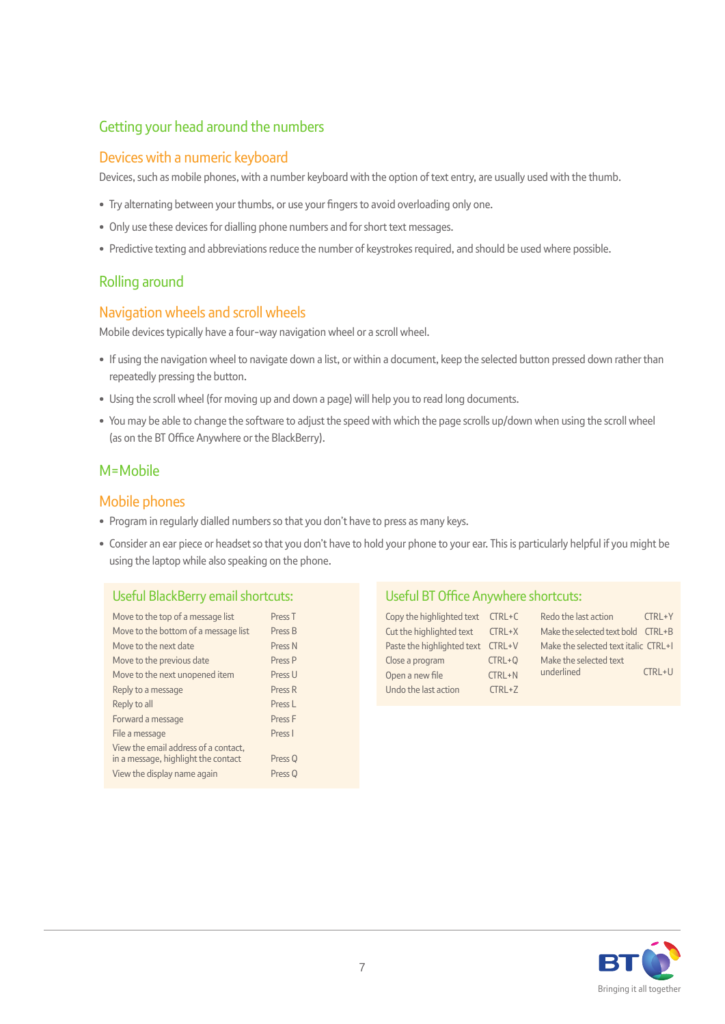### Getting your head around the numbers

#### Devices with a numeric keyboard

Devices, such as mobile phones, with a number keyboard with the option of text entry, are usually used with the thumb.

- Try alternating between your thumbs, or use your fingers to avoid overloading only one.
- Only use these devices for dialling phone numbers and for short text messages.
- Predictive texting and abbreviations reduce the number of keystrokes required, and should be used where possible.

### Rolling around

### Navigation wheels and scroll wheels

Mobile devices typically have a four-way navigation wheel or a scroll wheel.

- If using the navigation wheel to navigate down a list, or within a document, keep the selected button pressed down rather than repeatedly pressing the button.
- Using the scroll wheel (for moving up and down a page) will help you to read long documents.
- You may be able to change the software to adjust the speed with which the page scrolls up/down when using the scroll wheel (as on the BT Office Anywhere or the BlackBerry).

### M=Mobile

### Mobile phones

- Program in regularly dialled numbers so that you don't have to press as many keys.
- Consider an ear piece or headset so that you don't have to hold your phone to your ear. This is particularly helpful if you might be using the laptop while also speaking on the phone.

#### Useful BlackBerry email shortcuts:

| Press <sub>T</sub>                       |
|------------------------------------------|
| Press B                                  |
| Press N                                  |
| Press <sub>P</sub>                       |
| Press II                                 |
| Press R                                  |
| Press I                                  |
| Press F                                  |
| Press I                                  |
| Press <sub>Q</sub><br>Press <sub>Q</sub> |
|                                          |

#### Useful BT Office Anywhere shortcuts:

| Copy the highlighted text $CTRL+C$ |            | Redo the last action                 | CTRL+Y        |
|------------------------------------|------------|--------------------------------------|---------------|
| Cut the highlighted text CTRL+X    |            | Make the selected text bold CTRL+B   |               |
| Paste the highlighted text CTRL+V  |            | Make the selected text italic CTRL+1 |               |
| Close a program                    | $CTRL + Q$ | Make the selected text               |               |
| Open a new file                    | $CTRL + N$ | underlined                           | <b>CTRL+U</b> |
| Undo the last action               | $CTRL+Z$   |                                      |               |

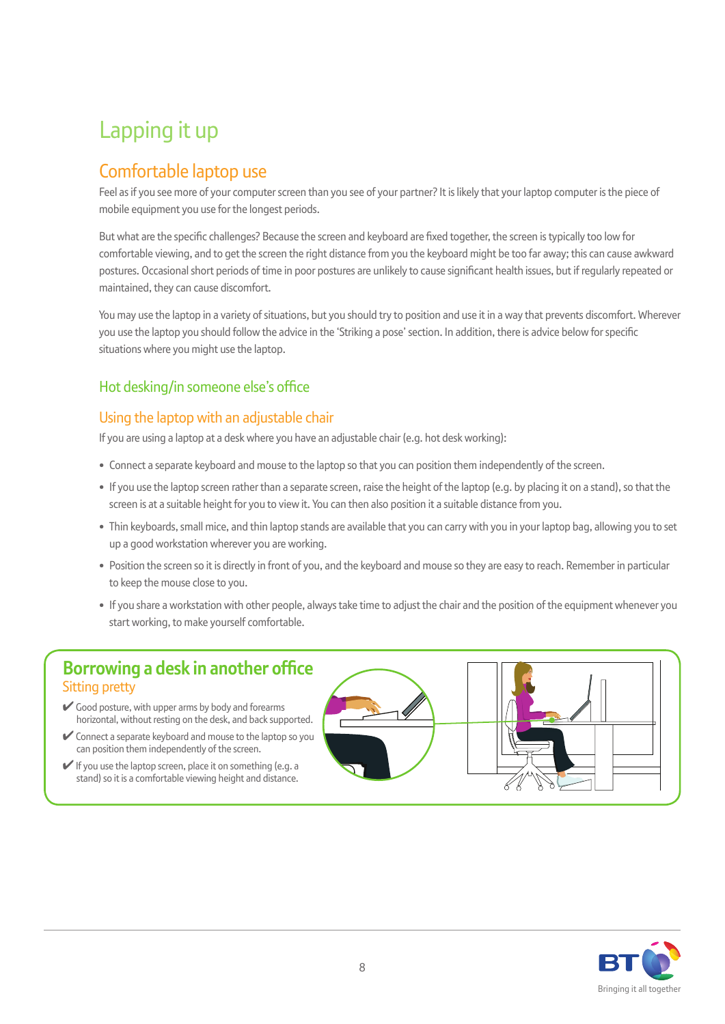## Lapping it up

### Comfortable laptop use

Feel as if you see more of your computer screen than you see of your partner? It is likely that your laptop computer is the piece of mobile equipment you use for the longest periods.

But what are the specific challenges? Because the screen and keyboard are fixed together, the screen is typically too low for comfortable viewing, and to get the screen the right distance from you the keyboard might be too far away; this can cause awkward postures. Occasional short periods of time in poor postures are unlikely to cause significant health issues, but if regularly repeated or maintained, they can cause discomfort.

You may use the laptop in a variety of situations, but you should try to position and use it in a way that prevents discomfort. Wherever you use the laptop you should follow the advice in the 'Striking a pose' section. In addition, there is advice below for specific situations where you might use the laptop.

### Hot desking/in someone else's office

### Using the laptop with an adjustable chair

If you are using a laptop at a desk where you have an adjustable chair (e.g. hot desk working):

- Connect a separate keyboard and mouse to the laptop so that you can position them independently of the screen.
- If you use the laptop screen rather than a separate screen, raise the height of the laptop (e.g. by placing it on a stand), so that the screen is at a suitable height for you to view it. You can then also position it a suitable distance from you.
- Thin keyboards, small mice, and thin laptop stands are available that you can carry with you in your laptop bag, allowing you to set up a good workstation wherever you are working.
- Position the screen so it is directly in front of you, and the keyboard and mouse so they are easy to reach. Remember in particular to keep the mouse close to you.
- If you share a workstation with other people, always take time to adjust the chair and the position of the equipment whenever you start working, to make yourself comfortable.

### **Borrowing a desk in another office** Sitting pretty

- ✔ Good posture, with upper arms by body and forearms horizontal, without resting on the desk, and back supported.
- $\vee$  Connect a separate keyboard and mouse to the laptop so you can position them independently of the screen.
- ✔ If you use the laptop screen, place it on something (e.g. a stand) so it is a comfortable viewing height and distance.



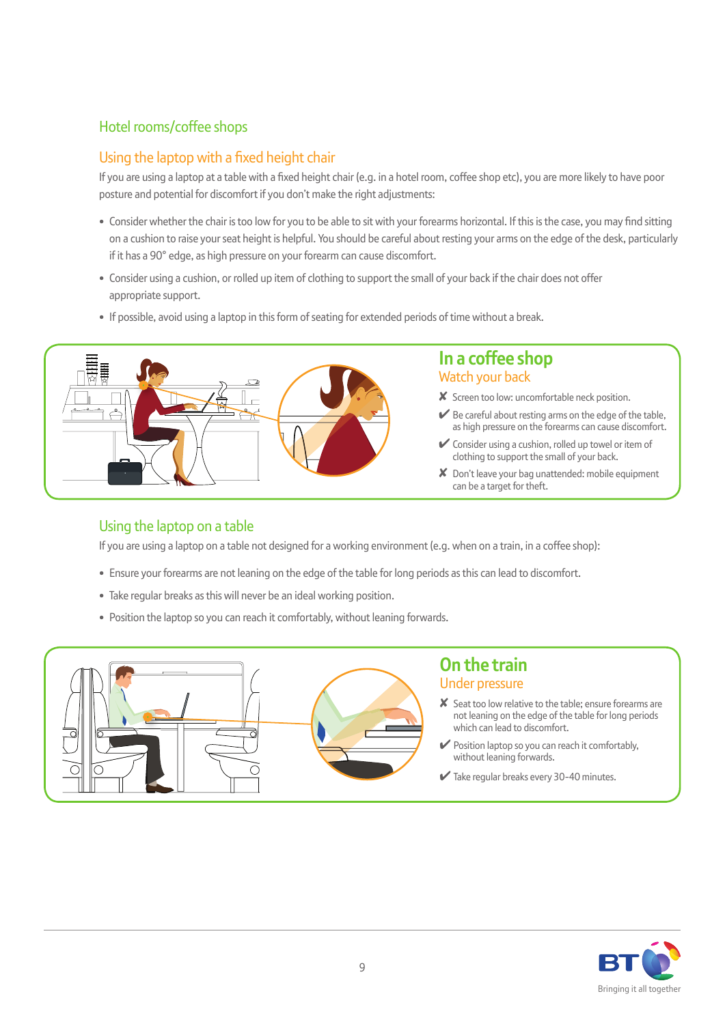### Hotel rooms/coffee shops

### Using the laptop with a fixed height chair

If you are using a laptop at a table with a fixed height chair (e.g. in a hotel room, coffee shop etc), you are more likely to have poor posture and potential for discomfort if you don't make the right adjustments:

- Consider whether the chair is too low for you to be able to sit with your forearms horizontal. If this is the case, you may find sitting on a cushion to raise your seat height is helpful. You should be careful about resting your arms on the edge of the desk, particularly if it has a 90° edge, as high pressure on your forearm can cause discomfort.
- Consider using a cushion, or rolled up item of clothing to support the small of your back if the chair does not offer appropriate support.
- If possible, avoid using a laptop in this form of seating for extended periods of time without a break.



### **In a coffee shop** Watch your back

- ✘ Screen too low: uncomfortable neck position.
- Be careful about resting arms on the edge of the table, as high pressure on the forearms can cause discomfort.
- $\vee$  Consider using a cushion, rolled up towel or item of clothing to support the small of your back.
- ✘ Don't leave your bag unattended: mobile equipment can be a target for theft.

### Using the laptop on a table

If you are using a laptop on a table not designed for a working environment (e.g. when on a train, in a coffee shop):

- Ensure your forearms are not leaning on the edge of the table for long periods as this can lead to discomfort.
- Take regular breaks as this will never be an ideal working position.
- Position the laptop so you can reach it comfortably, without leaning forwards.



### **On the train** Under pressure

- ✘ Seat too low relative to the table; ensure forearms are not leaning on the edge of the table for long periods which can lead to discomfort.
- $\blacktriangleright$  Position laptop so you can reach it comfortably, without leaning forwards.
- $\blacktriangleright$  Take regular breaks every 30-40 minutes.

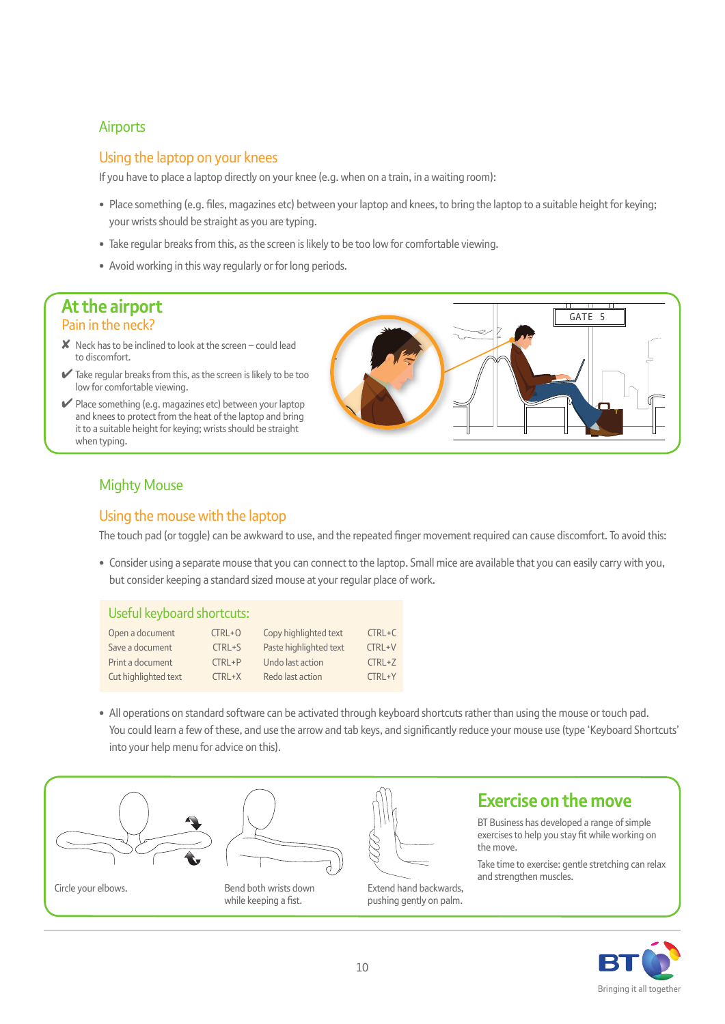#### **Airports**

### Using the laptop on your knees

If you have to place a laptop directly on your knee (e.g. when on a train, in a waiting room):

- Place something (e.g. fi les, magazines etc) between your laptop and knees, to bring the laptop to a suitable height for keying; your wrists should be straight as you are typing.
- Take regular breaks from this, as the screen is likely to be too low for comfortable viewing.
- Avoid working in this way regularly or for long periods.

### **At the airport**  Pain in the neck?

- **Neck has to be inclined to look at the screen could lead** to discomfort.
- $\blacktriangleright$  Take regular breaks from this, as the screen is likely to be too low for comfortable viewing.
- $\vee$  Place something (e.g. magazines etc) between your laptop and knees to protect from the heat of the laptop and bring it to a suitable height for keying; wrists should be straight when typing.



### Mighty Mouse

### Using the mouse with the laptop

The touch pad (or toggle) can be awkward to use, and the repeated finger movement required can cause discomfort. To avoid this:

• Consider using a separate mouse that you can connect to the laptop. Small mice are available that you can easily carry with you, but consider keeping a standard sized mouse at your regular place of work.

#### Useful keyboard shortcuts:

| Open a document      | $CIRL+O$   | Copy highlighted text  | $CTRL+C$  |
|----------------------|------------|------------------------|-----------|
| Save a document      | CTRL+S     | Paste highlighted text | CTRL+V    |
| Print a document     | $CTRL + P$ | Undo last action       | $CTRL+Z$  |
| Cut highlighted text | $CTRL+X$   | Redo last action       | $TRI + Y$ |

• All operations on standard software can be activated through keyboard shortcuts rather than using the mouse or touch pad. You could learn a few of these, and use the arrow and tab keys, and significantly reduce your mouse use (type 'Keyboard Shortcuts' into your help menu for advice on this).





Circle your elbows. The senate of Bend both wrists down while keeping a fist.



#### exercises to help you stay fit while working on the move.

Take time to exercise: gentle stretching can relax and strengthen muscles.

**Exercise on the move**

BT Business has developed a range of simple

Extend hand backwards, pushing gently on palm.

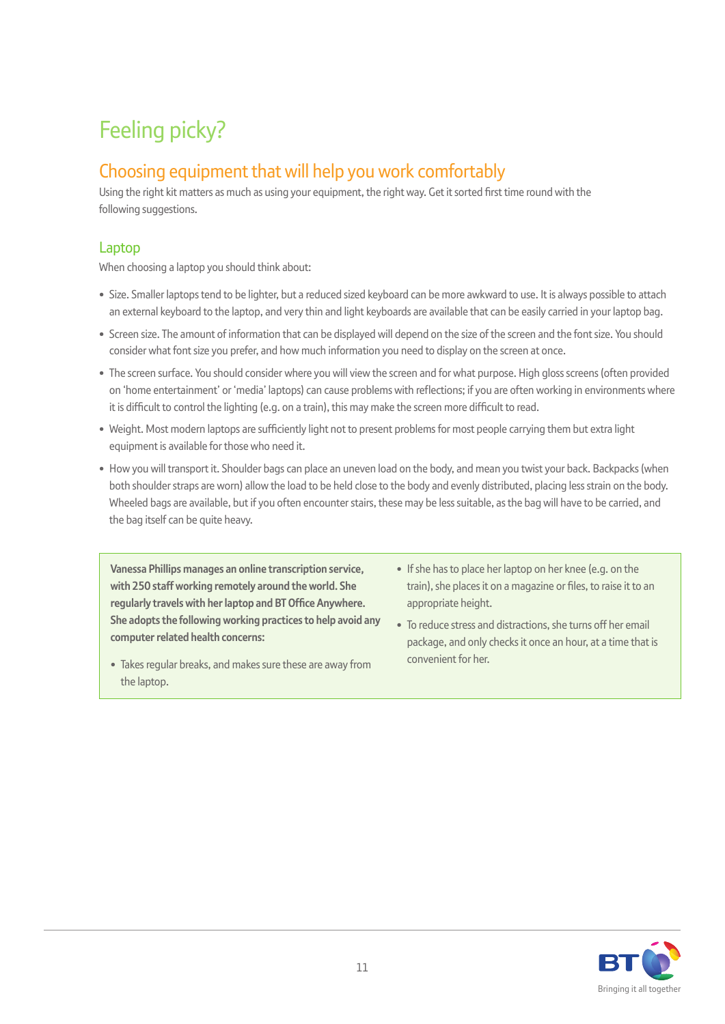## Feeling picky?

### Choosing equipment that will help you work comfortably

Using the right kit matters as much as using your equipment, the right way. Get it sorted first time round with the following suggestions.

### Laptop

When choosing a laptop you should think about:

- Size. Smaller laptops tend to be lighter, but a reduced sized keyboard can be more awkward to use. It is always possible to attach an external keyboard to the laptop, and very thin and light keyboards are available that can be easily carried in your laptop bag.
- Screen size. The amount of information that can be displayed will depend on the size of the screen and the font size. You should consider what font size you prefer, and how much information you need to display on the screen at once.
- The screen surface. You should consider where you will view the screen and for what purpose. High gloss screens (often provided on 'home entertainment' or 'media' laptops) can cause problems with reflections; if you are often working in environments where it is difficult to control the lighting (e.g. on a train), this may make the screen more difficult to read.
- Weight. Most modern laptops are sufficiently light not to present problems for most people carrying them but extra light equipment is available for those who need it.
- How you will transport it. Shoulder bags can place an uneven load on the body, and mean you twist your back. Backpacks (when both shoulder straps are worn) allow the load to be held close to the body and evenly distributed, placing less strain on the body. Wheeled bags are available, but if you often encounter stairs, these may be less suitable, as the bag will have to be carried, and the bag itself can be quite heavy.

**Vanessa Phillips manages an online transcription service, with 250 staff working remotely around the world. She regularly travels with her laptop and BT Office Anywhere. She adopts the following working practices to help avoid any computer related health concerns:**

- Takes regular breaks, and makes sure these are away from the laptop.
- If she has to place her laptop on her knee (e.g. on the train), she places it on a magazine or files, to raise it to an appropriate height.
- To reduce stress and distractions, she turns off her email package, and only checks it once an hour, at a time that is convenient for her.

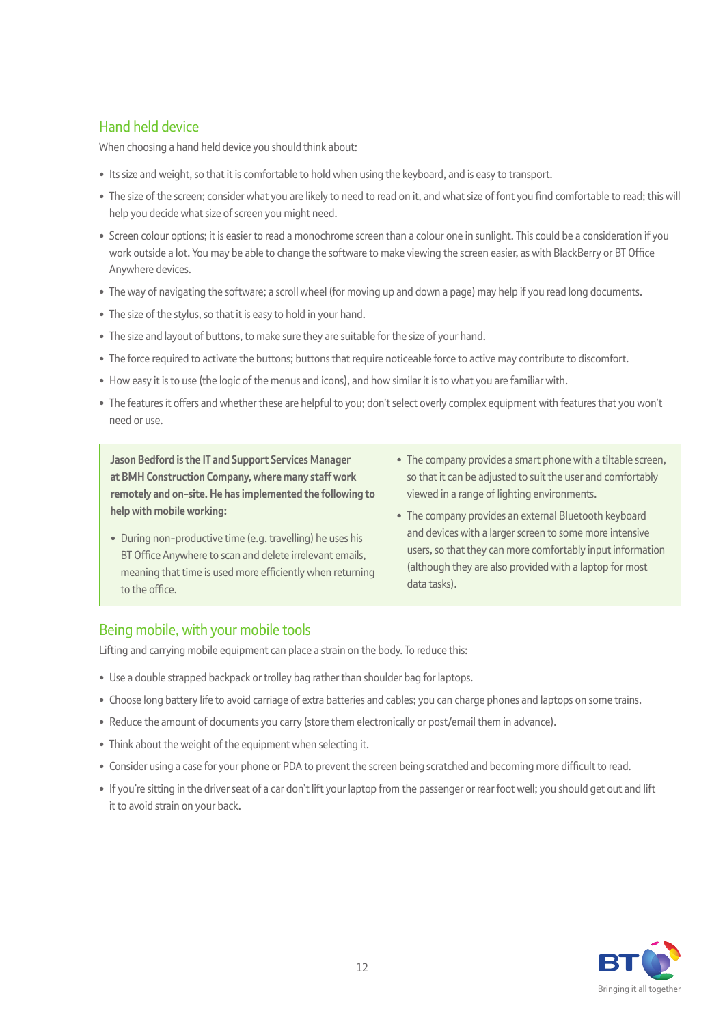### Hand held device

When choosing a hand held device you should think about:

- Its size and weight, so that it is comfortable to hold when using the keyboard, and is easy to transport.
- The size of the screen; consider what you are likely to need to read on it, and what size of font you find comfortable to read; this will help you decide what size of screen you might need.
- Screen colour options; it is easier to read a monochrome screen than a colour one in sunlight. This could be a consideration if you work outside a lot. You may be able to change the software to make viewing the screen easier, as with BlackBerry or BT Office Anywhere devices.
- The way of navigating the software; a scroll wheel (for moving up and down a page) may help if you read long documents.
- The size of the stylus, so that it is easy to hold in your hand.
- The size and layout of buttons, to make sure they are suitable for the size of your hand.
- The force required to activate the buttons; buttons that require noticeable force to active may contribute to discomfort.
- How easy it is to use (the logic of the menus and icons), and how similar it is to what you are familiar with.
- The features it offers and whether these are helpful to you; don't select overly complex equipment with features that you won't need or use.

**Jason Bedford is the IT and Support Services Manager at BMH Construction Company, where many staff work remotely and on-site. He has implemented the following to help with mobile working:**

- During non-productive time (e.g. travelling) he uses his BT Office Anywhere to scan and delete irrelevant emails, meaning that time is used more efficiently when returning to the office.
- The company provides a smart phone with a tiltable screen, so that it can be adjusted to suit the user and comfortably viewed in a range of lighting environments.
- The company provides an external Bluetooth keyboard and devices with a larger screen to some more intensive users, so that they can more comfortably input information (although they are also provided with a laptop for most data tasks).

### Being mobile, with your mobile tools

Lifting and carrying mobile equipment can place a strain on the body. To reduce this:

- Use a double strapped backpack or trolley bag rather than shoulder bag for laptops.
- Choose long battery life to avoid carriage of extra batteries and cables; you can charge phones and laptops on some trains.
- Reduce the amount of documents you carry (store them electronically or post/email them in advance).
- Think about the weight of the equipment when selecting it.
- Consider using a case for your phone or PDA to prevent the screen being scratched and becoming more difficult to read.
- If you're sitting in the driver seat of a car don't lift your laptop from the passenger or rear foot well; you should get out and lift it to avoid strain on your back.